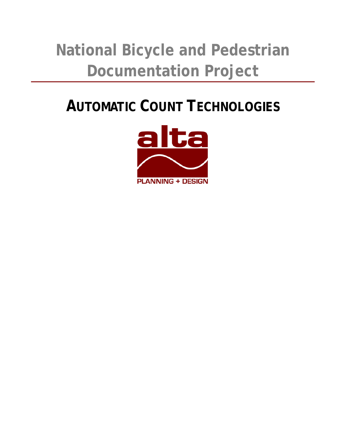# **National Bicycle and Pedestrian Documentation Project**

## **AUTOMATIC COUNT TECHNOLOGIES**

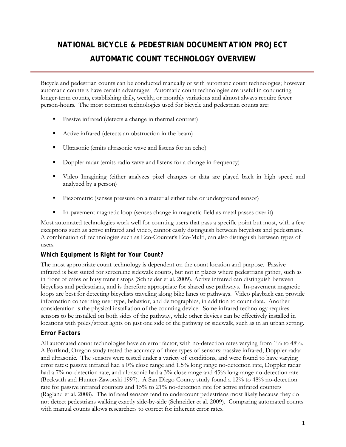### *NATIONAL BICYCLE & PEDESTRIAN DOCUMENTATION PROJECT*  **AUTOMATIC COUNT TECHNOLOGY OVERVIEW**

Bicycle and pedestrian counts can be conducted manually or with automatic count technologies; however automatic counters have certain advantages. Automatic count technologies are useful in conducting longer-term counts, establishing daily, weekly, or monthly variations and almost always require fewer person-hours. The most common technologies used for bicycle and pedestrian counts are:

- Passive infrared (detects a change in thermal contrast)
- Active infrared (detects an obstruction in the beam)
- Ultrasonic (emits ultrasonic wave and listens for an echo)
- Doppler radar (emits radio wave and listens for a change in frequency)
- Video Imagining (either analyzes pixel changes or data are played back in high speed and analyzed by a person)
- Piezometric (senses pressure on a material either tube or underground sensor)
- In-pavement magnetic loop (senses change in magnetic field as metal passes over it)

Most automated technologies work well for counting users that pass a specific point but most, with a few exceptions such as active infrared and video, cannot easily distinguish between bicyclists and pedestrians. A combination of technologies such as Eco-Counter's Eco-Multi, can also distinguish between types of users.

#### *Which Equipment is Right for Your Count?*

The most appropriate count technology is dependent on the count location and purpose. Passive infrared is best suited for screenline sidewalk counts, but not in places where pedestrians gather, such as in front of cafes or busy transit stops (Schneider et al. 2009). Active infrared can distinguish between bicyclists and pedestrians, and is therefore appropriate for shared use pathways. In-pavement magnetic loops are best for detecting bicyclists traveling along bike lanes or pathways. Video playback can provide information concerning user type, behavior, and demographics, in addition to count data. Another consideration is the physical installation of the counting device. Some infrared technology requires sensors to be installed on both sides of the pathway, while other devices can be effectively installed in locations with poles/street lights on just one side of the pathway or sidewalk, such as in an urban setting.

#### *Error Factors*

All automated count technologies have an error factor, with no-detection rates varying from 1% to 48%. A Portland, Oregon study tested the accuracy of three types of sensors: passive infrared, Doppler radar and ultrasonic. The sensors were tested under a variety of conditions, and were found to have varying error rates: passive infrared had a 0% close range and 1.5% long range no-detection rate, Doppler radar had a 7% no-detection rate, and ultrasonic had a 3% close range and 45% long range no-detection rate (Beckwith and Hunter-Zaworski 1997). A San Diego County study found a 12% to 48% no-detection rate for passive infrared counters and 15% to 21% no-detection rate for active infrared counters (Ragland et al. 2008). The infrared sensors tend to undercount pedestrians most likely because they do not detect pedestrians walking exactly side-by-side (Schneider et al. 2009). Comparing automated counts with manual counts allows researchers to correct for inherent error rates.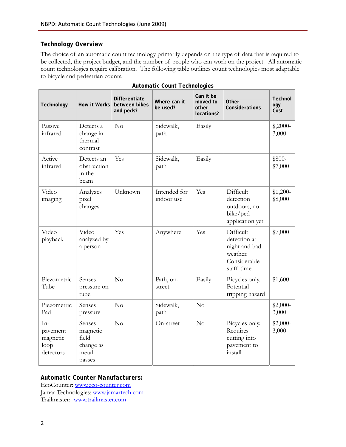#### *Technology Overview*

The choice of an automatic count technology primarily depends on the type of data that is required to be collected, the project budget, and the number of people who can work on the project. All automatic count technologies require calibration. The following table outlines count technologies most adaptable to bicycle and pedestrian counts.

| Technology                                         | How it Works                                                | <b>Differentiate</b><br>between bikes<br>and peds? | Where can it<br>be used?   | Can it be<br>moved to<br>other<br>locations? | Other<br>Considerations                                                              | <b>Technol</b><br>ogy<br>Cost |
|----------------------------------------------------|-------------------------------------------------------------|----------------------------------------------------|----------------------------|----------------------------------------------|--------------------------------------------------------------------------------------|-------------------------------|
| Passive<br>infrared                                | Detects a<br>change in<br>thermal<br>contrast               | No                                                 | Sidewalk,<br>path          | Easily                                       |                                                                                      | $$,2000-$<br>3,000            |
| Active<br>infrared                                 | Detects an<br>obstruction<br>in the<br>beam                 | Yes                                                | Sidewalk,<br>path          | Easily                                       |                                                                                      | \$800-<br>\$7,000             |
| Video<br>imaging                                   | Analyzes<br>pixel<br>changes                                | Unknown                                            | Intended for<br>indoor use | Yes                                          | Difficult<br>detection<br>outdoors, no<br>bike/ped<br>application yet                | $$1,200-$<br>\$8,000          |
| Video<br>playback                                  | Video<br>analyzed by<br>a person                            | Yes                                                | Anywhere                   | Yes                                          | Difficult<br>detection at<br>night and bad<br>weather.<br>Considerable<br>staff time | \$7,000                       |
| Piezometric<br>Tube                                | Senses<br>pressure on<br>tube                               | No                                                 | Path, on-<br>street        | Easily                                       | Bicycles only.<br>Potential<br>tripping hazard                                       | \$1,600                       |
| Piezometric<br>Pad                                 | Senses<br>pressure                                          | No                                                 | Sidewalk,<br>path          | No                                           |                                                                                      | $$2,000-$<br>3,000            |
| $In-$<br>pavement<br>magnetic<br>loop<br>detectors | Senses<br>magnetic<br>field<br>change as<br>metal<br>passes | No                                                 | On-street                  | No                                           | Bicycles only.<br>Requires<br>cutting into<br>pavement to<br>install                 | \$2,000-<br>3,000             |

|  |  |  | Automatic Count Technologies |
|--|--|--|------------------------------|
|--|--|--|------------------------------|

#### *Automatic Counter Manufacturers:*

EcoCounter: www.eco-counter.com Jamar Technologies: www.jamartech.com Trailmaster: www.trailmaster.com